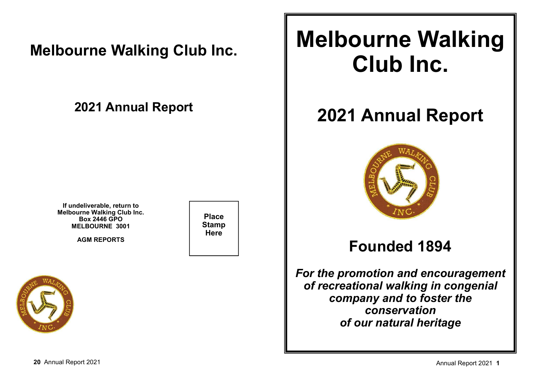## **Melbourne Walking Club Inc.**

## **2021 Annual Report**

**If undeliverable, return to Melbourne Walking Club Inc.Box 2446 GPOMELBOURNE 3001**

**AGM REPORTS**

**Place StampHere**



# **Melbourne Walking Club Inc.**

# **2021 Annual Report**



## **Founded 1894**

*For the promotion and encouragementof recreational walking in congenial company and to foster theconservationof our natural heritage*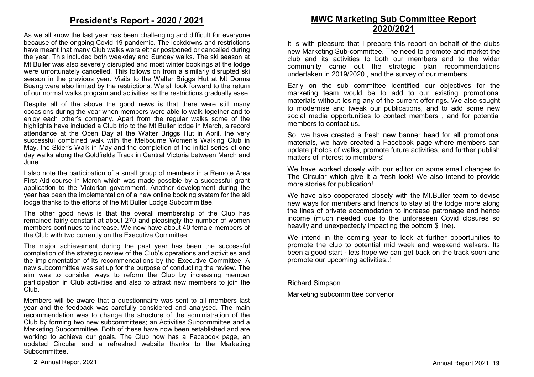## **President's Report - 2020 / 2021**

As we all know the last year has been challenging and difficult for everyone because of the ongoing Covid 19 pandemic. The lockdowns and restrictions have meant that many Club walks were either postponed or cancelled during the year. This included both weekday and Sunday walks. The ski season at Mt Buller was also severely disrupted and most winter bookings at the lodge were unfortunately cancelled. This follows on from a similarly disrupted ski season in the previous year. Visits to the Walter Briggs Hut at Mt Donna Buang were also limited by the restrictions. We all look forward to the return of our normal walks program and activities as the restrictions gradually ease.

Despite all of the above the good news is that there were still many occasions during the year when members were able to walk together and to enjoy each other's company. Apart from the regular walks some of the highlights have included a Club trip to the Mt Buller lodge in March, a record attendance at the Open Day at the Walter Briggs Hut in April, the very successful combined walk with the Melbourne Women's Walking Club in May, the Skier's Walk in May and the completion of the initial series of one day walks along the Goldfields Track in Central Victoria between March and June.

I also note the participation of a small group of members in a Remote Area First Aid course in March which was made possible by a successful grant application to the Victorian government. Another development during the year has been the implementation of a new online booking system for the ski lodge thanks to the efforts of the Mt Buller Lodge Subcommittee.

The other good news is that the overall membership of the Club has remained fairly constant at about 270 and pleasingly the number of women members continues to increase. We now have about 40 female members of the Club with two currently on the Executive Committee.

The major achievement during the past year has been the successful completion of the strategic review of the Club's operations and activities and the implementation of its recommendations by the Executive Committee. A new subcommittee was set up for the purpose of conducting the review. The aim was to consider ways to reform the Club by increasing member participation in Club activities and also to attract new members to join the Club.

Members will be aware that a questionnaire was sent to all members last year and the feedback was carefully considered and analysed. The main recommendation was to change the structure of the administration of the Club by forming two new subcommittees; an Activities Subcommittee and a Marketing Subcommittee. Both of these have now been established and are working to achieve our goals. The Club now has a Facebook page, an updated Circular and a refreshed website thanks to the Marketing Subcommittee.

## **MWC Marketing Sub Committee Report2020/2021**

It is with pleasure that I prepare this report on behalf of the clubs new Marketing Sub-committee. The need to promote and market the club and its activities to both our members and to the wider community came out the strategic plan recommendations undertaken in 2019/2020 , and the survey of our members.

Early on the sub committee identified our objectives for the marketing team would be to add to our existing promotional materials without losing any of the current offerings. We also sought to modernise and tweak our publications, and to add some new social media opportunities to contact members , and for potential members to contact us.

So, we have created a fresh new banner head for all promotional materials, we have created a Facebook page where members can update photos of walks, promote future activities, and further publish matters of interest to members!

We have worked closely with our editor on some small changes to The Circular which give it a fresh look! We also intend to provide more stories for publication!

We have also cooperated closely with the Mt.Buller team to devise new ways for members and friends to stay at the lodge more along the lines of private accomodation to increase patronage and hence income (much needed due to the unforeseen Covid closures so heavily and unexpectedly impacting the bottom \$ line).

We intend in the coming year to look at further opportunities to promote the club to potential mid week and weekend walkers. Its been a good start - lets hope we can get back on the track soon and promote our upcoming activities..!

Richard Simpson

Marketing subcommittee convenor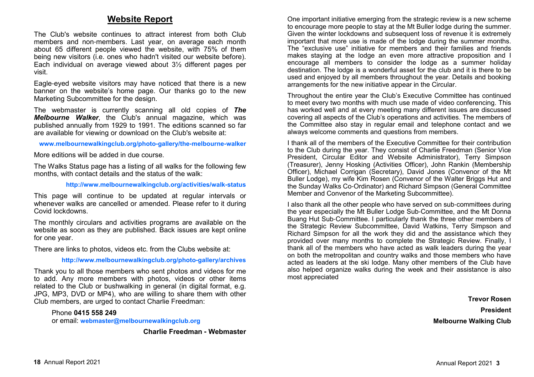## **Website Report**

The Club's website continues to attract interest from both Club members and non-members. Last year, on average each month about 65 different people viewed the website, with 75% of them being new visitors (i.e. ones who hadn't visited our website before). Each individual on average viewed about 3½ different pages per visit.

Eagle-eyed website visitors may have noticed that there is a new banner on the website's home page. Our thanks go to the new Marketing Subcommittee for the design.

The webmaster is currently scanning all old copies of *The Melbourne Walker*, the Club's annual magazine, which was published annually from 1929 to 1991. The editions scanned so far are available for viewing or download on the Club's website at:

#### **www.melbournewalkingclub.org/photo-gallery/the-melbourne-walker**

More editions will be added in due course.

The Walks Status page has a listing of all walks for the following few months, with contact details and the status of the walk:

**http://www.melbournewalkingclub.org/activities/walk-status**

This page will continue to be updated at regular intervals or whenever walks are cancelled or amended. Please refer to it during Covid lockdowns.

The monthly circulars and activities programs are available on the website as soon as they are published. Back issues are kept online for one year.

There are links to photos, videos etc. from the Clubs website at:

#### **http://www.melbournewalkingclub.org/photo-gallery/archives**

Thank you to all those members who sent photos and videos for me to add. Any more members with photos, videos or other items related to the Club or bushwalking in general (in digital format, e.g. JPG, MP3, DVD or MP4), who are willing to share them with other Club members, are urged to contact Charlie Freedman:

Phone **0415 558 249**or email: **webmaster@melbournewalkingclub.org**

**Charlie Freedman - Webmaster**

One important initiative emerging from the strategic review is a new scheme to encourage more people to stay at the Mt Buller lodge during the summer. Given the winter lockdowns and subsequent loss of revenue it is extremely important that more use is made of the lodge during the summer months. The "exclusive use" initiative for members and their families and friends makes staying at the lodge an even more attractive proposition and I encourage all members to consider the lodge as a summer holiday destination. The lodge is a wonderful asset for the club and it is there to be used and enjoyed by all members throughout the year. Details and booking arrangements for the new initiative appear in the Circular.

Throughout the entire year the Club's Executive Committee has continued to meet every two months with much use made of video conferencing. This has worked well and at every meeting many different issues are discussed covering all aspects of the Club's operations and activities. The members of the Committee also stay in regular email and telephone contact and we always welcome comments and questions from members.

I thank all of the members of the Executive Committee for their contribution to the Club during the year. They consist of Charlie Freedman (Senior Vice President, Circular Editor and Website Administrator), Terry Simpson (Treasurer), Jenny Hosking (Activities Officer), John Rankin (Membership Officer), Michael Corrigan (Secretary), David Jones (Convenor of the Mt Buller Lodge), my wife Kim Rosen (Convenor of the Walter Briggs Hut and the Sunday Walks Co-Ordinator) and Richard Simpson (General Committee Member and Convenor of the Marketing Subcommittee).

I also thank all the other people who have served on sub-committees during the year especially the Mt Buller Lodge Sub-Committee, and the Mt Donna Buang Hut Sub-Committee. I particularly thank the three other members of the Strategic Review Subcommittee, David Watkins, Terry Simpson and Richard Simpson for all the work they did and the assistance which they provided over many months to complete the Strategic Review. Finally, I thank all of the members who have acted as walk leaders during the year on both the metropolitan and country walks and those members who have acted as leaders at the ski lodge. Many other members of the Club have also helped organize walks during the week and their assistance is also most appreciated

> **Trevor RosenPresidentMelbourne Walking Club**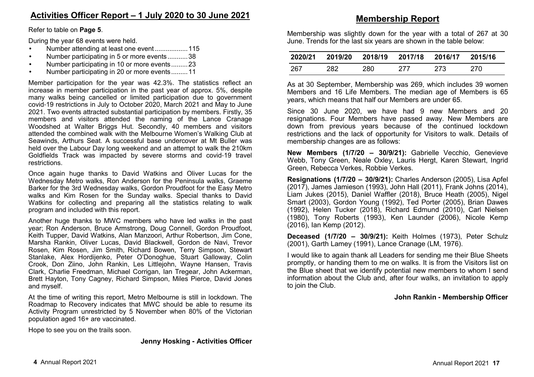Refer to table on **Page 5**.

During the year 68 events were held.

- Number attending at least one event .................. 115
- Number participating in 5 or more events ........... 38
- Number participating in 10 or more events ......... 23
- Number participating in 20 or more events ......... 11

Member participation for the year was 42.3%. The statistics reflect an increase in member participation in the past year of approx. 5%, despite many walks being cancelled or limited participation due to government covid-19 restrictions in July to October 2020, March 2021 and May to June 2021. Two events attracted substantial participation by members. Firstly, 35 members and visitors attended the naming of the Lance Cranage Woodshed at Walter Briggs Hut. Secondly, 40 members and visitors attended the combined walk with the Melbourne Women's Walking Club at Seawinds, Arthurs Seat. A successful base undercover at Mt Buller was held over the Labour Day long weekend and an attempt to walk the 210km Goldfields Track was impacted by severe storms and covid-19 travel restrictions.

Once again huge thanks to David Watkins and Oliver Lucas for the Wednesday Metro walks, Ron Anderson for the Peninsula walks, Graeme Barker for the 3rd Wednesday walks, Gordon Proudfoot for the Easy Metro walks and Kim Rosen for the Sunday walks. Special thanks to David Watkins for collecting and preparing all the statistics relating to walk program and included with this report.

Another huge thanks to MWC members who have led walks in the past year; Ron Anderson, Bruce Armstrong, Doug Connell, Gordon Proudfoot, Keith Tupper, David Watkins, Alan Manzoori, Arthur Robertson, Jim Cone, Marsha Rankin, Oliver Lucas, David Blackwell, Gordon de Navi, Trevor Rosen, Kim Rosen, Jim Smith, Richard Bowen, Terry Simpson, Stewart Stanlake, Alex Hordijenko, Peter O'Donoghue, Stuart Galloway, Colin Crook, Don Ziino, John Rankin, Les Littlejohn, Wayne Hansen, Travis Clark, Charlie Freedman, Michael Corrigan, Ian Tregear, John Ackerman, Brett Hayton, Tony Cagney, Richard Simpson, Miles Pierce, David Jones and myself.

At the time of writing this report, Metro Melbourne is still in lockdown. The Roadmap to Recovery indicates that MWC should be able to resume its Activity Program unrestricted by 5 November when 80% of the Victorian population aged 16+ are vaccinated.

Hope to see you on the trails soon.

#### **Jenny Hosking - Activities Officer**

Membership was slightly down for the year with a total of 267 at 30 June. Trends for the last six years are shown in the table below:

| 2020/21 |     |     | 2019/20 2018/19 2017/18 2016/17 |     | 2015/16 |
|---------|-----|-----|---------------------------------|-----|---------|
| 267     | 282 | 280 | 277                             | 273 | 270     |

As at 30 September, Membership was 269, which includes 39 women Members and 16 Life Members. The median age of Members is 65 years, which means that half our Members are under 65.

Since 30 June 2020, we have had 9 new Members and 20 resignations. Four Members have passed away. New Members are down from previous years because of the continued lockdown restrictions and the lack of opportunity for Visitors to walk. Details of membership changes are as follows:

**New Members (1/7/20 – 30/9/21):** Gabrielle Vecchio, Genevieve Webb, Tony Green, Neale Oxley, Lauris Hergt, Karen Stewart, Ingrid Green, Rebecca Verkes, Robbie Verkes.

**Resignations (1/7/20 – 30/9/21):** Charles Anderson (2005), Lisa Apfel (2017), James Jamieson (1993), John Hall (2011), Frank Johns (2014), Liam Jukes (2015), Daniel Waffler (2018), Bruce Heath (2005), Nigel Smart (2003), Gordon Young (1992), Ted Porter (2005), Brian Dawes (1992), Helen Tucker (2018), Richard Edmund (2010), Carl Nielsen (1980), Tony Roberts (1993), Ken Launder (2006), Nicole Kemp (2016), Ian Kemp (2012).

**Deceased (1/7/20 – 30/9/21):** Keith Holmes (1973), Peter Schulz (2001), Garth Lamey (1991), Lance Cranage (LM, 1976).

I would like to again thank all Leaders for sending me their Blue Sheets promptly, or handing them to me on walks. It is from the Visitors list on the Blue sheet that we identify potential new members to whom I send information about the Club and, after four walks, an invitation to apply to join the Club.

### **John Rankin - Membership Officer**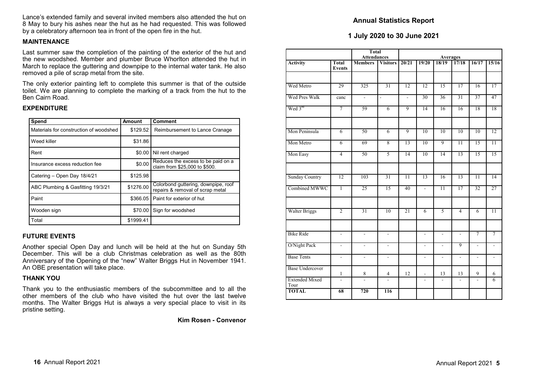Lance's extended family and several invited members also attended the hut on 8 May to bury his ashes near the hut as he had requested. This was followed by a celebratory afternoon tea in front of the open fire in the hut.

#### **MAINTENANCE**

 Last summer saw the completion of the painting of the exterior of the hut and the new woodshed. Member and plumber Bruce Whorlton attended the hut in March to replace the guttering and downpipe to the internal water tank. He also removed a pile of scrap metal from the site.

The only exterior painting left to complete this summer is that of the outside toilet. We are planning to complete the marking of a track from the hut to the Ben Cairn Road.

#### **EXPENDITURE**

| Spend                                  | Amount    | Comment                                                                 |
|----------------------------------------|-----------|-------------------------------------------------------------------------|
| Materials for construction of woodshed | \$129.52  | Reimbursement to Lance Cranage                                          |
| Weed killer                            | \$31.86   |                                                                         |
| Rent                                   | \$0.00    | Nil rent charged                                                        |
| Insurance excess reduction fee         | \$0.00    | Reduces the excess to be paid on a<br>claim from \$25,000 to \$500.     |
| Catering - Open Day 18/4/21            | \$125.98  |                                                                         |
| ABC Plumbing & Gasfitting 19/3/21      | \$1276.00 | Colorbond guttering, downpipe, roof<br>repairs & removal of scrap metal |
| Paint                                  | \$366.05  | Paint for exterior of hut                                               |
| Wooden sign                            | \$70.00   | Sign for woodshed                                                       |
| Total                                  | \$1999.41 |                                                                         |

#### **FUTURE EVENTS**

Another special Open Day and lunch will be held at the hut on Sunday 5th December. This will be a club Christmas celebration as well as the 80th Anniversary of the Opening of the "new" Walter Briggs Hut in November 1941. An OBE presentation will take place.

#### **THANK YOU**

 Thank you to the enthusiastic members of the subcommittee and to all the other members of the club who have visited the hut over the last twelve months. The Walter Briggs Hut is always a very special place to visit in its pristine setting.

**Kim Rosen - Convenor**

#### **Annual Statistics Report**

#### **1 July 2020 to 30 June 2021**

|                               |                          | <b>Total</b><br><b>Attendances</b> |                          | <b>Averages</b> |                 |                          |                          |                          |                 |
|-------------------------------|--------------------------|------------------------------------|--------------------------|-----------------|-----------------|--------------------------|--------------------------|--------------------------|-----------------|
| <b>Activity</b>               | Total<br><b>Events</b>   | <b>Members</b>                     | <b>Visitors</b>          | 20/21           | 19/20           | 18/19                    | 17/18                    | 16/17                    | 15/16           |
| Wed Metro                     | 29                       | 325                                | 31                       | 12              | $\overline{12}$ | $\overline{15}$          | 17                       | 16                       | 17              |
| Wed Pres Walk                 | canc                     | $\overline{\phantom{a}}$           | $\overline{\phantom{a}}$ | $\sim$          | 30              | 36                       | 31                       | 37                       | 47              |
| Wed 3rd                       | 7                        | 59                                 | $\overline{6}$           | 9               | 14              | 16                       | 16                       | 18                       | 18              |
| Mon Peninsula                 | $\overline{6}$           | 50                                 | $\overline{6}$           | 9               | 10              | 10                       | 10                       | 10                       | 12              |
| Mon Metro                     | $\overline{6}$           | 69                                 | 8                        | 13              | 10              | 9                        | $\overline{11}$          | 15                       | $\overline{11}$ |
| Mon Easy                      | $\overline{4}$           | 50                                 | $\overline{5}$           | 14              | 10              | 14                       | 13                       | $\overline{15}$          | 15              |
| <b>Sunday Country</b>         | 12                       | 103                                | $\overline{31}$          | $\overline{11}$ | 13              | 16                       | 13                       | $\overline{11}$          | $\overline{14}$ |
| Combined MWWC                 | $\overline{1}$           | 25                                 | $\overline{15}$          | 40              | ÷,              | $\overline{11}$          | 17                       | 32                       | 27              |
| <b>Walter Briggs</b>          | $\overline{2}$           | $\overline{31}$                    | 10                       | $\overline{21}$ | 6               | 5                        | $\overline{4}$           | $\overline{6}$           | $\overline{11}$ |
| <b>Bike Ride</b>              | $\overline{a}$           | $\overline{a}$                     | $\overline{a}$           |                 | ÷,              | $\overline{a}$           |                          | $\overline{7}$           | $\overline{7}$  |
| O/Night Pack                  | $\overline{\phantom{a}}$ | ÷,                                 | ÷,                       |                 | $\blacksquare$  | $\overline{\phantom{a}}$ | 9                        | $\blacksquare$           | $\frac{1}{2}$   |
| <b>Base Tents</b>             | ÷,                       | L.                                 | ÷,                       |                 | ÷,              | $\overline{a}$           | $\frac{1}{2}$            | $\overline{a}$           | $\overline{a}$  |
| <b>Base Undercover</b>        | $\mathbf{1}$             | 8                                  | $\overline{4}$           | 12              |                 | 13                       | 13                       | 9                        | 6               |
| <b>Extended Mixed</b><br>Tour | $\frac{1}{2}$            | ÷,                                 | ÷,                       |                 | ÷,              | $\overline{\phantom{a}}$ | $\overline{\phantom{a}}$ | $\overline{\phantom{a}}$ | 6               |
| <b>TOTAL</b>                  | 68                       | 720                                | 116                      |                 |                 |                          |                          |                          |                 |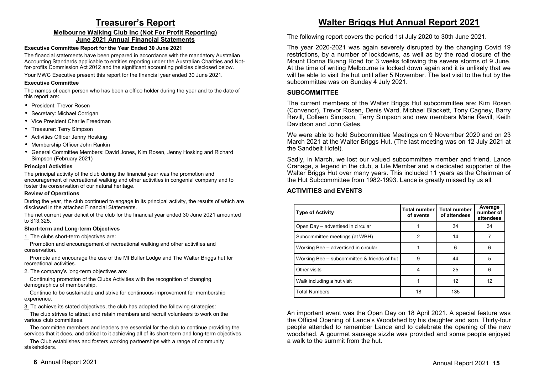## **Treasurer's Report**

#### **Melbourne Walking Club Inc (Not For Profit Reporting)June 2021 Annual Financial Statements**

#### **Executive Committee Report for the Year Ended 30 June 2021**

 The financial statements have been prepared in accordance with the mandatory Australian Accounting Standards applicable to entities reporting under the Australian Charities and Notfor-profits Commission Act 2012 and the significant accounting policies disclosed below.

Your MWC Executive present this report for the financial year ended 30 June 2021.

#### **Executive Committee**

 The names of each person who has been a office holder during the year and to the date of this report are:

- President: Trevor Rosen
- Secretary: Michael Corrigan
- Vice President Charlie Freedman
- Treasurer: Terry Simpson
- Activities Officer Jenny Hosking
- Membership Officer John Rankin
- General Committee Members: David Jones, Kim Rosen, Jenny Hosking and Richard Simpson (February 2021)

#### **Principal Activities**

 The principal activity of the club during the financial year was the promotion and encouragement of recreational walking and other activities in congenial company and to foster the conservation of our natural heritage.

#### **Review of Operations**

 During the year, the club continued to engage in its principal activity, the results of which are disclosed in the attached Financial Statements.

The net current year deficit of the club for the financial year ended 30 June 2021 amounted to \$13,325.

#### **Short-term and Long-term Objectives**

1. The clubs short-term objectives are:

Promotion and encouragement of recreational walking and other activities and conservation.

Promote and encourage the use of the Mt Buller Lodge and The Walter Briggs hut for recreational activities.

2. The company's long-term objectives are:

Continuing promotion of the Clubs Activities with the recognition of changing demographics of membership.

Continue to be sustainable and strive for continuous improvement for membership experience.

3. To achieve its stated objectives, the club has adopted the following strategies:

The club strives to attract and retain members and recruit volunteers to work on the various club committees.

The committee members and leaders are essential for the club to continue providing the services that it does, and critical to it achieving all of its short-term and long-term objectives.

The Club establishes and fosters working partnerships with a range of community stakeholders.

## **Walter Briggs Hut Annual Report 2021**

The following report covers the period 1st July 2020 to 30th June 2021.

The year 2020-2021 was again severely disrupted by the changing Covid 19 restrictions, by a number of lockdowns, as well as by the road closure of the Mount Donna Buang Road for 3 weeks following the severe storms of 9 June. At the time of writing Melbourne is locked down again and it is unlikely that we will be able to visit the hut until after 5 November. The last visit to the hut by the subcommittee was on Sunday 4 July 2021.

#### **SUBCOMMITTEE**

The current members of the Walter Briggs Hut subcommittee are: Kim Rosen (Convenor), Trevor Rosen, Denis Ward, Michael Blackett, Tony Cagney, Barry Revill, Colleen Simpson, Terry Simpson and new members Marie Revill, Keith Davidson and John Gates.

We were able to hold Subcommittee Meetings on 9 November 2020 and on 23 March 2021 at the Walter Briggs Hut. (The last meeting was on 12 July 2021 at the Sandbelt Hotel).

Sadly, in March, we lost our valued subcommittee member and friend, Lance Cranage, a legend in the club, a Life Member and a dedicated supporter of the Walter Briggs Hut over many years. This included 11 years as the Chairman of the Hut Subcommittee from 1982-1993. Lance is greatly missed by us all.

#### **ACTIVITIES and EVENTS**

| <b>Type of Activity</b>                     | <b>Total number</b><br>of events | <b>Total number</b><br>of attendees | Average<br>number of<br>attendees |
|---------------------------------------------|----------------------------------|-------------------------------------|-----------------------------------|
| Open Day - advertised in circular           |                                  | 34                                  | 34                                |
| Subcommittee meetings (at WBH)              | 2                                | 14                                  |                                   |
| Working Bee - advertised in circular        |                                  | 6                                   | 6                                 |
| Working Bee – subcommittee & friends of hut | 9                                | 44                                  | 5                                 |
| Other visits                                | 4                                | 25                                  | 6                                 |
| Walk including a hut visit                  |                                  | 12                                  | 12                                |
| <b>Total Numbers</b>                        | 18                               | 135                                 |                                   |

An important event was the Open Day on 18 April 2021. A special feature was the Official Opening of Lance's Woodshed by his daughter and son. Thirty-four people attended to remember Lance and to celebrate the opening of the new woodshed. A gourmet sausage sizzle was provided and some people enjoyed a walk to the summit from the hut.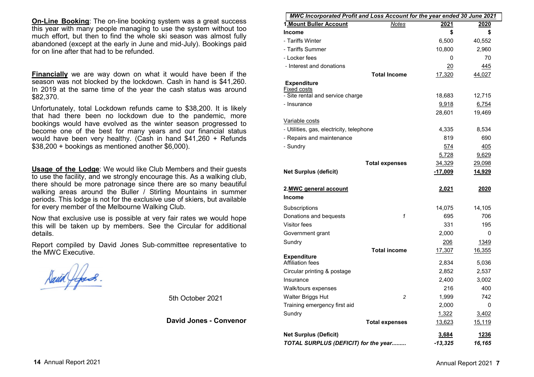**On-Line Booking**: The on-line booking system was a great success this year with many people managing to use the system without too much effort, but then to find the whole ski season was almost fully abandoned (except at the early in June and mid-July). Bookings paid for on line after that had to be refunded.

**Financially** we are way down on what it would have been if the season was not blocked by the lockdown. Cash in hand is \$41,260. In 2019 at the same time of the year the cash status was around \$82,370.

Unfortunately, total Lockdown refunds came to \$38,200. It is likely that had there been no lockdown due to the pandemic, more bookings would have evolved as the winter season progressed to become one of the best for many years and our financial status would have been very healthy. (Cash in hand \$41,260 + Refunds \$38,200 + bookings as mentioned another \$6,000).

**Usage of the Lodge**: We would like Club Members and their guests to use the facility, and we strongly encourage this. As a walking club, there should be more patronage since there are so many beautiful walking areas around the Buller / Stirling Mountains in summer periods. This lodge is not for the exclusive use of skiers, but available for every member of the Melbourne Walking Club.

Now that exclusive use is possible at very fair rates we would hope this will be taken up by members. See the Circular for additional details.

Report compiled by David Jones Sub-committee representative to the MWC Executive.

5th October 2021

**David Jones - Convenor**

| <u>MWC Incorporated Profit and Loss Account for the year ended 30 June 2021</u> |                       |                |             |  |
|---------------------------------------------------------------------------------|-----------------------|----------------|-------------|--|
| 1. Mount Buller Account                                                         | <b>Notes</b>          | 2021           | 2020        |  |
| <b>Income</b>                                                                   |                       | \$             | \$          |  |
| - Tariffs Winter                                                                |                       | 6,500          | 40,552      |  |
| - Tariffs Summer                                                                |                       | 10,800         | 2,960       |  |
| - Locker fees                                                                   |                       | 0              | 70          |  |
| - Interest and donations                                                        |                       | $\frac{20}{2}$ | 445         |  |
|                                                                                 | <b>Total Income</b>   | 17,320         | 44,027      |  |
| <b>Expenditure</b>                                                              |                       |                |             |  |
| <b>Fixed costs</b><br>- Site rental and service charge                          |                       |                | 12,715      |  |
|                                                                                 |                       | 18,683         |             |  |
| - Insurance                                                                     |                       | 9,918          | 6,754       |  |
|                                                                                 |                       | 28,601         | 19,469      |  |
| Variable costs                                                                  |                       |                |             |  |
| - Utilities, gas, electricity, telephone                                        |                       | 4,335          | 8,534       |  |
| - Repairs and maintenance                                                       |                       | 819            | 690         |  |
| - Sundry                                                                        |                       | 574            | 405         |  |
|                                                                                 |                       | 5,728          | 9,629       |  |
|                                                                                 | <b>Total expenses</b> | 34,329         | 29,098      |  |
| <b>Net Surplus (deficit)</b>                                                    |                       | $-17,009$      | 14,929      |  |
| 2.MWC general account                                                           |                       | 2,021          | <u>2020</u> |  |
| <b>Income</b>                                                                   |                       |                |             |  |
| Subscriptions                                                                   |                       | 14,075         | 14,105      |  |
| Donations and bequests                                                          | 1                     | 695            | 706         |  |
| Visitor fees                                                                    |                       | 331            | 195         |  |
| Government grant                                                                |                       | 2,000          | 0           |  |
| Sundry                                                                          |                       | 206            | 1349        |  |
|                                                                                 | <b>Total income</b>   | 17,307         | 16,355      |  |
| <b>Expenditure</b><br><b>Affiliation fees</b>                                   |                       | 2,834          | 5,036       |  |
| Circular printing & postage                                                     |                       | 2,852          | 2,537       |  |
| Insurance                                                                       |                       | 2,400          | 3,002       |  |
| Walk/tours expenses                                                             |                       | 216            | 400         |  |
| Walter Briggs Hut                                                               | 2                     | 1,999          | 742         |  |
| Training emergency first aid                                                    |                       | 2,000          | 0           |  |
| Sundry                                                                          |                       | 1,322          | 3,402       |  |
|                                                                                 | <b>Total expenses</b> | 13,623         | 15,119      |  |
|                                                                                 |                       |                |             |  |
| <b>Net Surplus (Deficit)</b>                                                    |                       | 3,684          | <u>1236</u> |  |
| TOTAL SURPLUS (DEFICIT) for the year                                            |                       | $-13,325$      | 16,165      |  |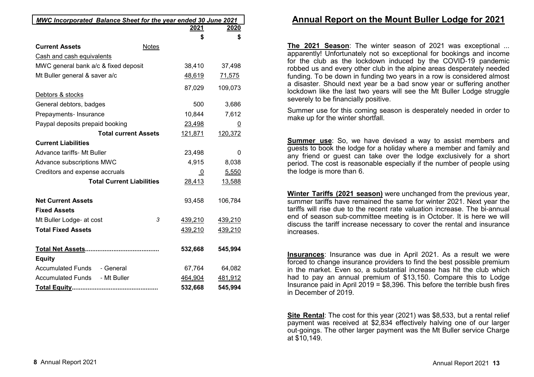| <b>MWC Incorporated Balance Sheet for the year ended 30 June 2021</b> |                |             |
|-----------------------------------------------------------------------|----------------|-------------|
|                                                                       | <u> 2021</u>   | <u>2020</u> |
|                                                                       | \$             | \$          |
| <b>Current Assets</b><br>Notes                                        |                |             |
| Cash and cash equivalents                                             |                |             |
| MWC general bank a/c & fixed deposit                                  | 38,410         | 37,498      |
| Mt Buller general & saver a/c                                         | 48,619         | 71,575      |
|                                                                       | 87,029         | 109,073     |
| Debtors & stocks                                                      |                |             |
| General debtors, badges                                               | 500            | 3,686       |
| Prepayments- Insurance                                                | 10,844         | 7,612       |
| Paypal deposits prepaid booking                                       | 23,498         | 0           |
| <b>Total current Assets</b>                                           | 121,871        | 120,372     |
| <b>Current Liabilities</b>                                            |                |             |
| <b>Advance tariffs- Mt Buller</b>                                     | 23,498         | 0           |
| Advance subscriptions MWC                                             | 4,915          | 8,038       |
| Creditors and expense accruals                                        | $\overline{0}$ | 5,550       |
| <b>Total Current Liabilities</b>                                      | 28,413         | 13,588      |
| <b>Net Current Assets</b>                                             | 93,458         | 106,784     |
| <b>Fixed Assets</b>                                                   |                |             |
| 3<br>Mt Buller Lodge- at cost                                         | 439,210        | 439,210     |
| <b>Total Fixed Assets</b>                                             | 439,210        | 439,210     |
|                                                                       | 532,668        | 545,994     |
| <b>Equity</b>                                                         |                |             |
| Accumulated Funds - General                                           | 67,764         | 64,082      |
| Accumulated Funds - Mt Buller                                         | 464,904        | 481,912     |
|                                                                       | 532,668        | 545,994     |

## **Annual Report on the Mount Buller Lodge for 2021**

**The 2021 Season**: The winter season of 2021 was exceptional ... apparently! Unfortunately not so exceptional for bookings and income for the club as the lockdown induced by the COVID-19 pandemic robbed us and every other club in the alpine areas desperately needed funding. To be down in funding two years in a row is considered almost a disaster. Should next year be a bad snow year or suffering another lockdown like the last two years will see the Mt Buller Lodge struggle severely to be financially positive.

Summer use for this coming season is desperately needed in order to make up for the winter shortfall.

**Summer use**: So, we have devised a way to assist members and guests to book the lodge for a holiday where a member and family and any friend or guest can take over the lodge exclusively for a short period. The cost is reasonable especially if the number of people using the lodge is more than 6.

**Winter Tariffs (2021 season)** were unchanged from the previous year, summer tariffs have remained the same for winter 2021. Next year the tariffs will rise due to the recent rate valuation increase. The bi-annual end of season sub-committee meeting is in October. It is here we will discuss the tariff increase necessary to cover the rental and insurance increases.

**Insurances**: Insurance was due in April 2021. As a result we were forced to change insurance providers to find the best possible premium in the market. Even so, a substantial increase has hit the club which had to pay an annual premium of \$13,150. Compare this to Lodge Insurance paid in April 2019 = \$8,396. This before the terrible bush fires in December of 2019.

**Site Rental**: The cost for this year (2021) was \$8,533, but a rental relief payment was received at \$2,834 effectively halving one of our larger out-goings. The other larger payment was the Mt Buller service Charge at \$10,149.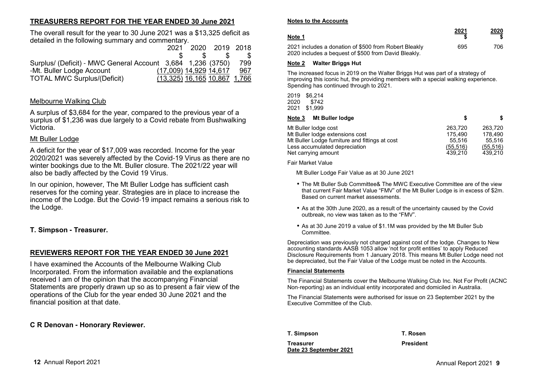## **TREASURERS REPORT FOR THE YEAR ENDED 30 June 2021**

The overall result for the year to 30 June 2021 was a \$13,325 deficit as detailed in the following summary and commentary.

|                                                             |                        | 2021 2020 2019 2018            |     |
|-------------------------------------------------------------|------------------------|--------------------------------|-----|
|                                                             |                        |                                |     |
| Surplus/ (Deficit) - MWC General Account 3,684 1,236 (3750) |                        |                                | 799 |
| -Mt. Buller Lodge Account                                   | (17,009) 14,929 14,617 |                                | 967 |
| <b>TOTAL MWC Surplus/(Deficit)</b>                          |                        | $(13,325)$ 16,165 10,867 1,766 |     |

## Melbourne Walking Club

A surplus of \$3,684 for the year, compared to the previous year of a surplus of \$1,236 was due largely to a Covid rebate from Bushwalking Victoria.

### Mt Buller Lodge

A deficit for the year of \$17,009 was recorded. Income for the year 2020/2021 was severely affected by the Covid-19 Virus as there are no winter bookings due to the Mt. Buller closure. The 2021/22 year will also be badly affected by the Covid 19 Virus.

In our opinion, however, The Mt Buller Lodge has sufficient cash reserves for the coming year. Strategies are in place to increase the income of the Lodge. But the Covid-19 impact remains a serious risk to the Lodge.

## **T. Simpson - Treasurer.**

## **REVIEWERS REPORT FOR THE YEAR ENDED 30 June 2021**

I have examined the Accounts of the Melbourne Walking Club Incorporated. From the information available and the explanations received I am of the opinion that the accompanying Financial Statements are properly drawn up so as to present a fair view of the operations of the Club for the year ended 30 June 2021 and the financial position at that date.

## **C R Denovan - Honorary Reviewer.**

#### **Notes to the Accounts**

| Note 1                                                                                                        | 2021 | 2020 |
|---------------------------------------------------------------------------------------------------------------|------|------|
| 2021 includes a donation of \$500 from Robert Bleakly<br>2020 includes a bequest of \$500 from David Bleakly. | 695  | 706. |

#### **Note 2 Walter Briggs Hut**

The increased focus in 2019 on the Walter Briggs Hut was part of a strategy of improving this iconic hut, the providing members with a special walking experience. Spending has continued through to 2021.

2019 \$6,214 2020 \$742 2021 \$1,999

| Note 3                                      | Mt Buller lodge                                                                                                    |                                                      |                                                      |
|---------------------------------------------|--------------------------------------------------------------------------------------------------------------------|------------------------------------------------------|------------------------------------------------------|
| Mt Buller lodge cost<br>Net carrying amount | Mt Buller lodge extensions cost<br>Mt Buller Lodge furniture and fittings at cost<br>Less accumulated depreciation | 263.720<br>175.490<br>55.516<br>(55, 516)<br>439.210 | 263.720<br>178.490<br>55.516<br>(55, 516)<br>439.210 |

Fair Market Value

Mt Buller Lodge Fair Value as at 30 June 2021

- The Mt Buller Sub Committee& The MWC Executive Committee are of the view that current Fair Market Value "FMV" of the Mt Buller Lodge is in excess of \$2m. Based on current market assessments.
- As at the 30th June 2020, as a result of the uncertainty caused by the Covid outbreak, no view was taken as to the "FMV".
- As at 30 June 2019 a value of \$1.1M was provided by the Mt Buller Sub Committee.

Depreciation was previously not charged against cost of the lodge. Changes to New accounting standards AASB 1053 allow 'not for profit entities' to apply Reduced Disclosure Requirements from 1 January 2018. This means Mt Buller Lodge need not be depreciated, but the Fair Value of the Lodge must be noted in the Accounts.

#### **Financial Statements**

The Financial Statements cover the Melbourne Walking Club Inc. Not For Profit (ACNC Non-reporting) as an individual entity incorporated and domiciled in Australia.

The Financial Statements were authorised for issue on 23 September 2021 by the Executive Committee of the Club.

**T. Simpson**

**TreasurerDate 23 September 2021** **T. Rosen**

**President**